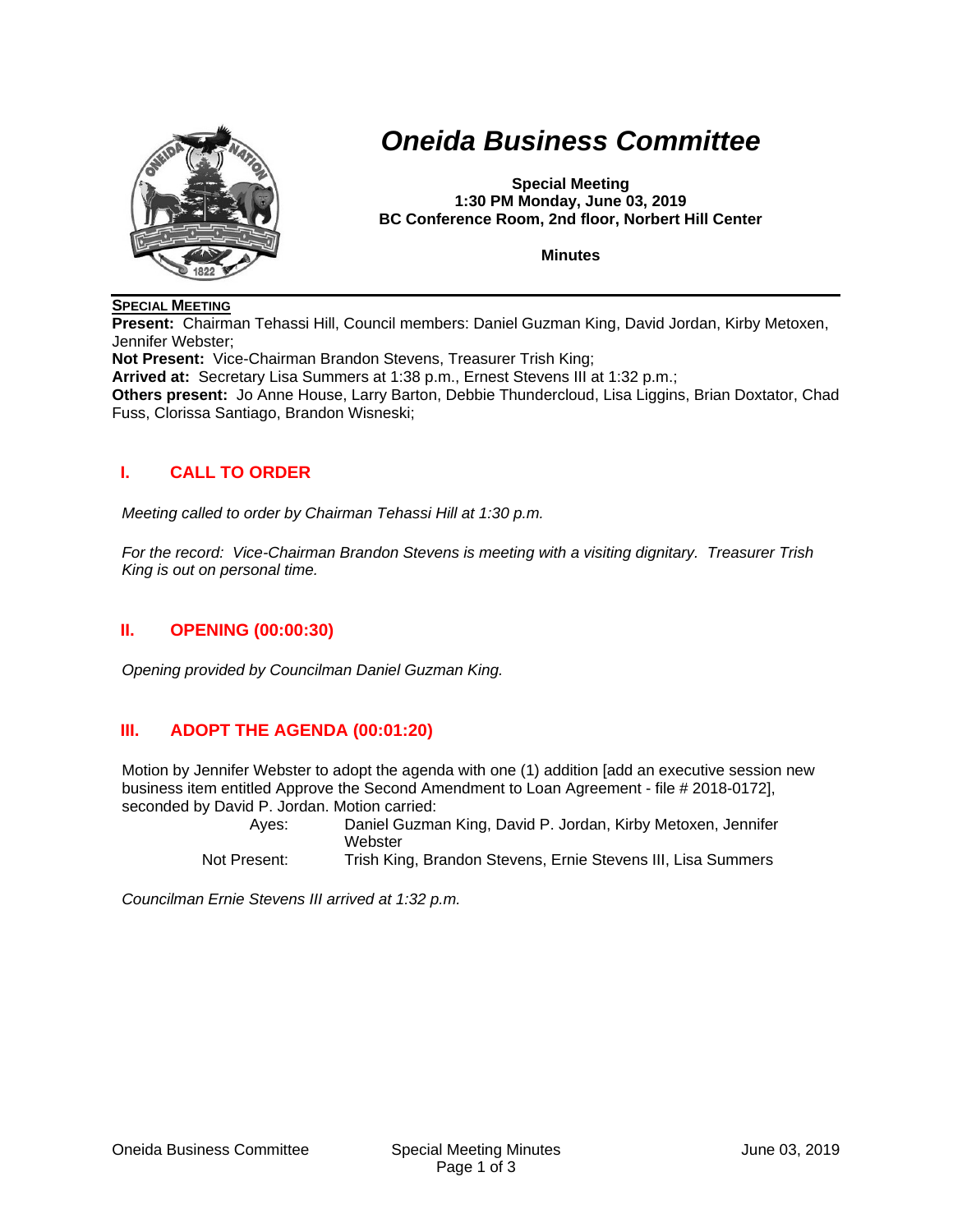

# *Oneida Business Committee*

**Special Meeting 1:30 PM Monday, June 03, 2019 BC Conference Room, 2nd floor, Norbert Hill Center** 

**Minutes** 

## **SPECIAL MEETING**

**Present:** Chairman Tehassi Hill, Council members: Daniel Guzman King, David Jordan, Kirby Metoxen, Jennifer Webster;

**Not Present:** Vice-Chairman Brandon Stevens, Treasurer Trish King; **Arrived at:** Secretary Lisa Summers at 1:38 p.m., Ernest Stevens III at 1:32 p.m.; **Others present:** Jo Anne House, Larry Barton, Debbie Thundercloud, Lisa Liggins, Brian Doxtator, Chad Fuss, Clorissa Santiago, Brandon Wisneski;

## **I. CALL TO ORDER**

*Meeting called to order by Chairman Tehassi Hill at 1:30 p.m.* 

*For the record: Vice-Chairman Brandon Stevens is meeting with a visiting dignitary. Treasurer Trish King is out on personal time.* 

## **II. OPENING (00:00:30)**

*Opening provided by Councilman Daniel Guzman King.* 

## **III. ADOPT THE AGENDA (00:01:20)**

Motion by Jennifer Webster to adopt the agenda with one (1) addition [add an executive session new business item entitled Approve the Second Amendment to Loan Agreement - file # 2018-0172], seconded by David P. Jordan. Motion carried:

| Aves: | Daniel Guzman King, David P. Jordan, Kirby Metoxen, Jennifer |
|-------|--------------------------------------------------------------|
|       | Webster                                                      |
|       |                                                              |

Not Present: Trish King, Brandon Stevens, Ernie Stevens III, Lisa Summers

*Councilman Ernie Stevens III arrived at 1:32 p.m.*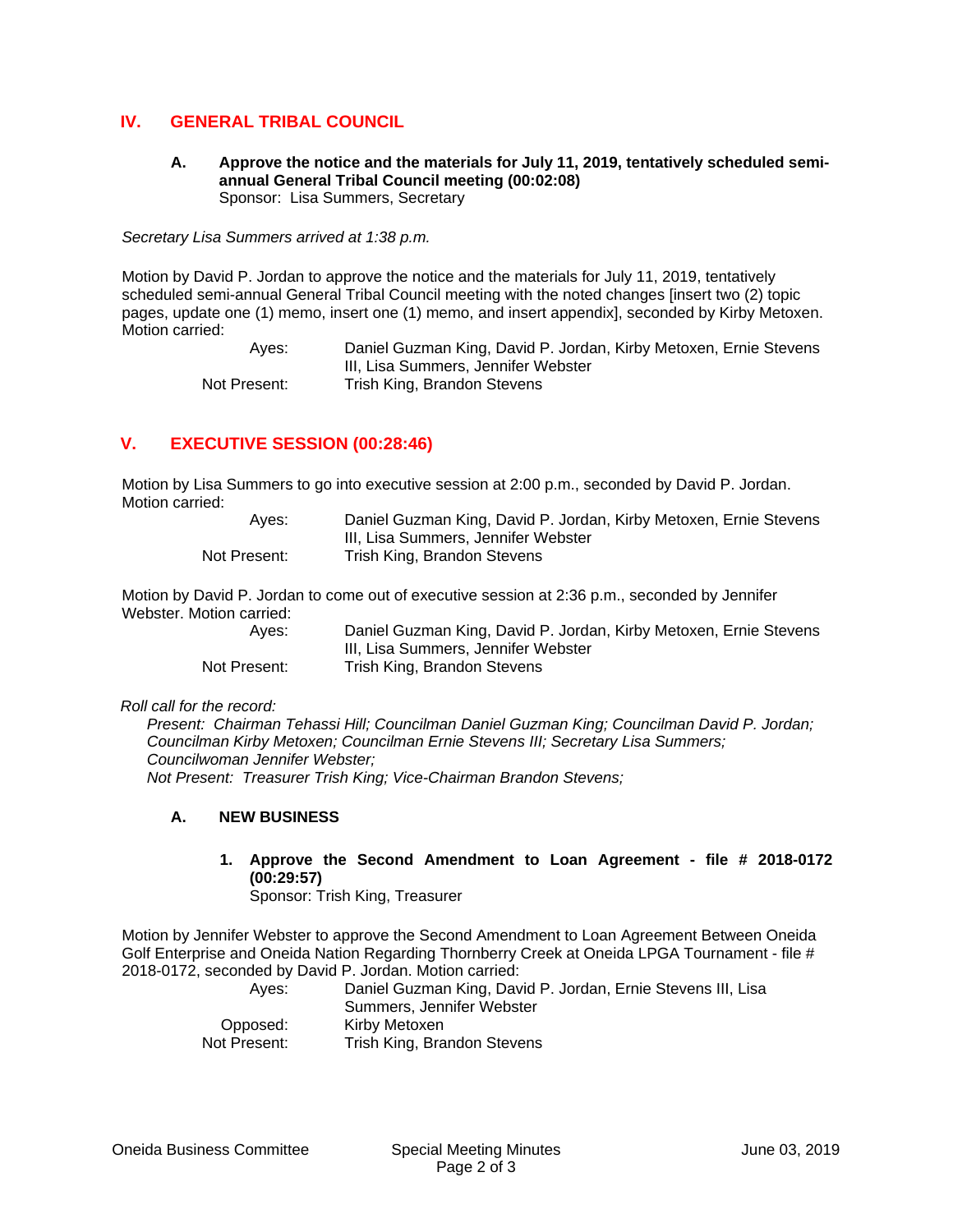## **IV. GENERAL TRIBAL COUNCIL**

#### **A. Approve the notice and the materials for July 11, 2019, tentatively scheduled semiannual General Tribal Council meeting (00:02:08)**  Sponsor: Lisa Summers, Secretary

*Secretary Lisa Summers arrived at 1:38 p.m.* 

Motion by David P. Jordan to approve the notice and the materials for July 11, 2019, tentatively scheduled semi-annual General Tribal Council meeting with the noted changes [insert two (2) topic pages, update one (1) memo, insert one (1) memo, and insert appendix], seconded by Kirby Metoxen. Motion carried:

 Ayes: Daniel Guzman King, David P. Jordan, Kirby Metoxen, Ernie Stevens III, Lisa Summers, Jennifer Webster Not Present: Trish King, Brandon Stevens

## **V. EXECUTIVE SESSION (00:28:46)**

Motion by Lisa Summers to go into executive session at 2:00 p.m., seconded by David P. Jordan. Motion carried:

| Aves:        | Daniel Guzman King, David P. Jordan, Kirby Metoxen, Ernie Stevens |
|--------------|-------------------------------------------------------------------|
|              | III, Lisa Summers, Jennifer Webster                               |
| Not Present: | Trish King, Brandon Stevens                                       |

Motion by David P. Jordan to come out of executive session at 2:36 p.m., seconded by Jennifer Webster. Motion carried:

| Aves:        | Daniel Guzman King, David P. Jordan, Kirby Metoxen, Ernie Stevens |
|--------------|-------------------------------------------------------------------|
|              | III, Lisa Summers, Jennifer Webster                               |
| Not Present: | Trish King, Brandon Stevens                                       |

*Roll call for the record:* 

*Present: Chairman Tehassi Hill; Councilman Daniel Guzman King; Councilman David P. Jordan; Councilman Kirby Metoxen; Councilman Ernie Stevens III; Secretary Lisa Summers; Councilwoman Jennifer Webster; Not Present: Treasurer Trish King; Vice-Chairman Brandon Stevens;* 

## **A. NEW BUSINESS**

## **1. Approve the Second Amendment to Loan Agreement - file # 2018-0172 (00:29:57)**

Sponsor: Trish King, Treasurer

Motion by Jennifer Webster to approve the Second Amendment to Loan Agreement Between Oneida Golf Enterprise and Oneida Nation Regarding Thornberry Creek at Oneida LPGA Tournament - file # 2018-0172, seconded by David P. Jordan. Motion carried:

 Ayes: Daniel Guzman King, David P. Jordan, Ernie Stevens III, Lisa Summers, Jennifer Webster Opposed: Kirby Metoxen Not Present: Trish King, Brandon Stevens